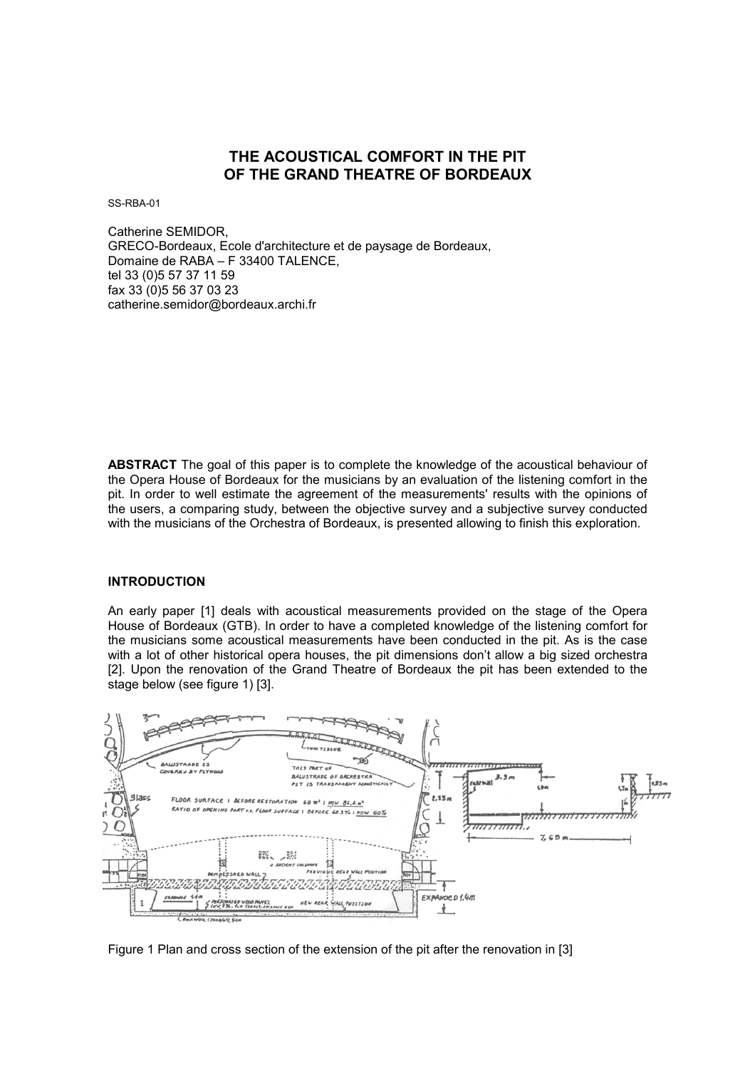# **THE ACOUSTICAL COMFORT IN THE PIT OF THE GRAND THEATRE OF BORDEAUX**

SS-RBA-01

Catherine SEMIDOR, GRECO-Bordeaux, Ecole d'architecture et de paysage de Bordeaux, Domaine de RABA – F 33400 TALENCE, tel 33 (0)5 57 37 11 59 fax 33 (0)5 56 37 03 23 catherine.semidor@bordeaux.archi.fr

**ABSTRACT** The goal of this paper is to complete the knowledge of the acoustical behaviour of the Opera House of Bordeaux for the musicians by an evaluation of the listening comfort in the pit. In order to well estimate the agreement of the measurements' results with the opinions of the users, a comparing study, between the objective survey and a subjective survey conducted with the musicians of the Orchestra of Bordeaux, is presented allowing to finish this exploration.

## **INTRODUCTION**

An early paper [1] deals with acoustical measurements provided on the stage of the Opera House of Bordeaux (GTB). In order to have a completed knowledge of the listening comfort for the musicians some acoustical measurements have been conducted in the pit. As is the case with a lot of other historical opera houses, the pit dimensions don't allow a big sized orchestra [2]. Upon the renovation of the Grand Theatre of Bordeaux the pit has been extended to the stage below (see figure 1) [3].



Figure 1 Plan and cross section of the extension of the pit after the renovation in [3]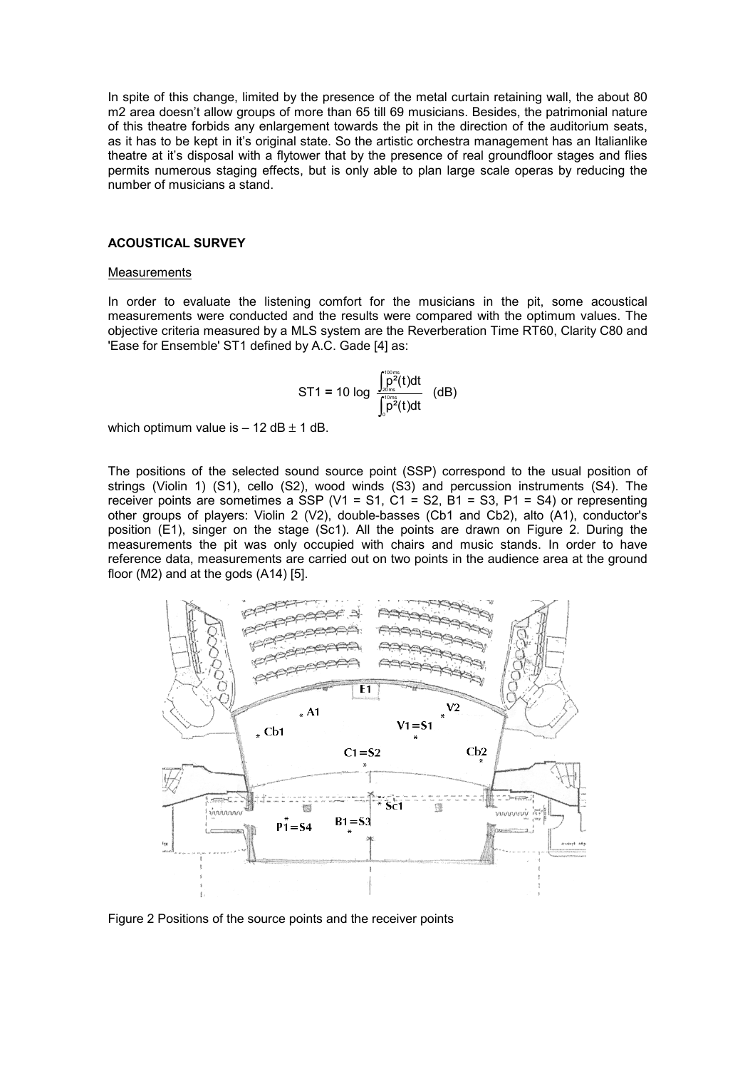In spite of this change, limited by the presence of the metal curtain retaining wall, the about 80 m2 area doesn't allow groups of more than 65 till 69 musicians. Besides, the patrimonial nature of this theatre forbids any enlargement towards the pit in the direction of the auditorium seats, as it has to be kept in it's original state. So the artistic orchestra management has an Italianlike theatre at it's disposal with a flytower that by the presence of real groundfloor stages and flies permits numerous staging effects, but is only able to plan large scale operas by reducing the number of musicians a stand.

## **ACOUSTICAL SURVEY**

#### **Measurements**

In order to evaluate the listening comfort for the musicians in the pit, some acoustical measurements were conducted and the results were compared with the optimum values. The objective criteria measured by a MLS system are the Reverberation Time RT60, Clarity C80 and 'Ease for Ensemble' ST1 defined by A.C. Gade [4] as:

ST1 = 10 log 
$$
\int_{0}^{\frac{\pi}{20ms}} \frac{\rho^2(t)dt}{\int_{0}^{\frac{\pi}{20ms}}t^2(t)dt}
$$
 (dB)

which optimum value is  $-12$  dB  $\pm$  1 dB.

The positions of the selected sound source point (SSP) correspond to the usual position of strings (Violin 1) (S1), cello (S2), wood winds (S3) and percussion instruments (S4). The receiver points are sometimes a SSP (V1 = S1, C1 = S2, B1 = S3, P1 = S4) or representing other groups of players: Violin 2 (V2), double-basses (Cb1 and Cb2), alto (A1), conductor's position (E1), singer on the stage (Sc1). All the points are drawn on Figure 2. During the measurements the pit was only occupied with chairs and music stands. In order to have reference data, measurements are carried out on two points in the audience area at the ground floor (M2) and at the gods (A14) [5].



Figure 2 Positions of the source points and the receiver points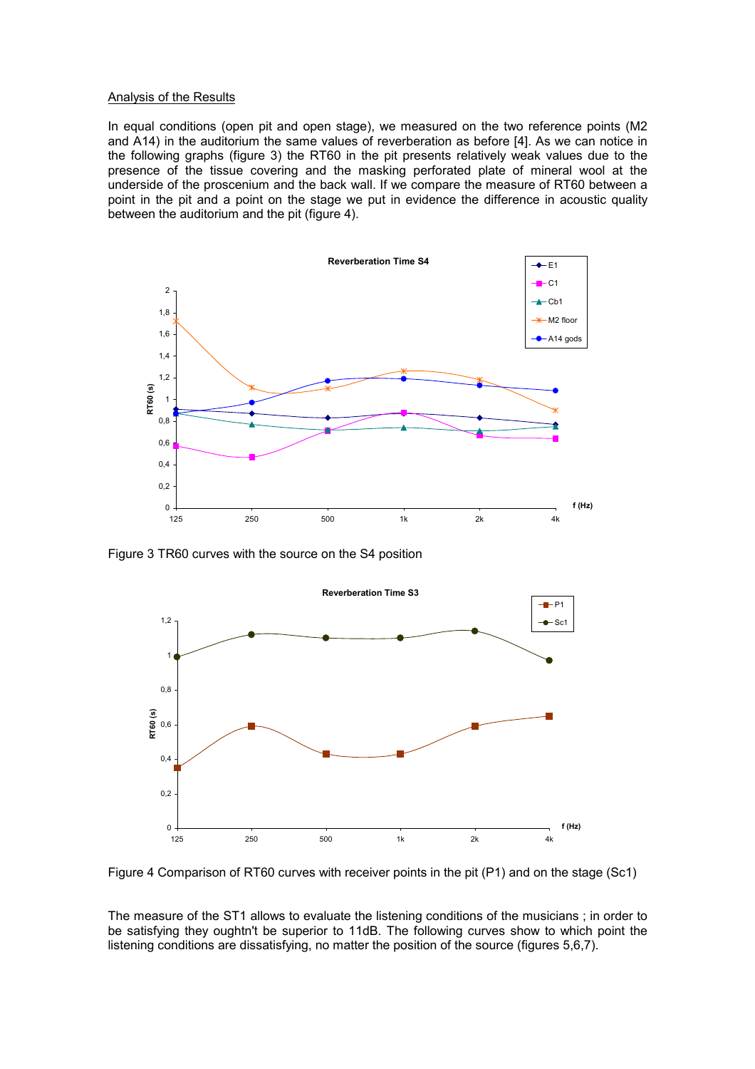#### Analysis of the Results

In equal conditions (open pit and open stage), we measured on the two reference points (M2 and A14) in the auditorium the same values of reverberation as before [4]. As we can notice in the following graphs (figure 3) the RT60 in the pit presents relatively weak values due to the presence of the tissue covering and the masking perforated plate of mineral wool at the underside of the proscenium and the back wall. If we compare the measure of RT60 between a point in the pit and a point on the stage we put in evidence the difference in acoustic quality between the auditorium and the pit (figure 4).



Figure 3 TR60 curves with the source on the S4 position



Figure 4 Comparison of RT60 curves with receiver points in the pit (P1) and on the stage (Sc1)

The measure of the ST1 allows to evaluate the listening conditions of the musicians ; in order to be satisfying they oughtn't be superior to 11dB. The following curves show to which point the listening conditions are dissatisfying, no matter the position of the source (figures 5,6,7).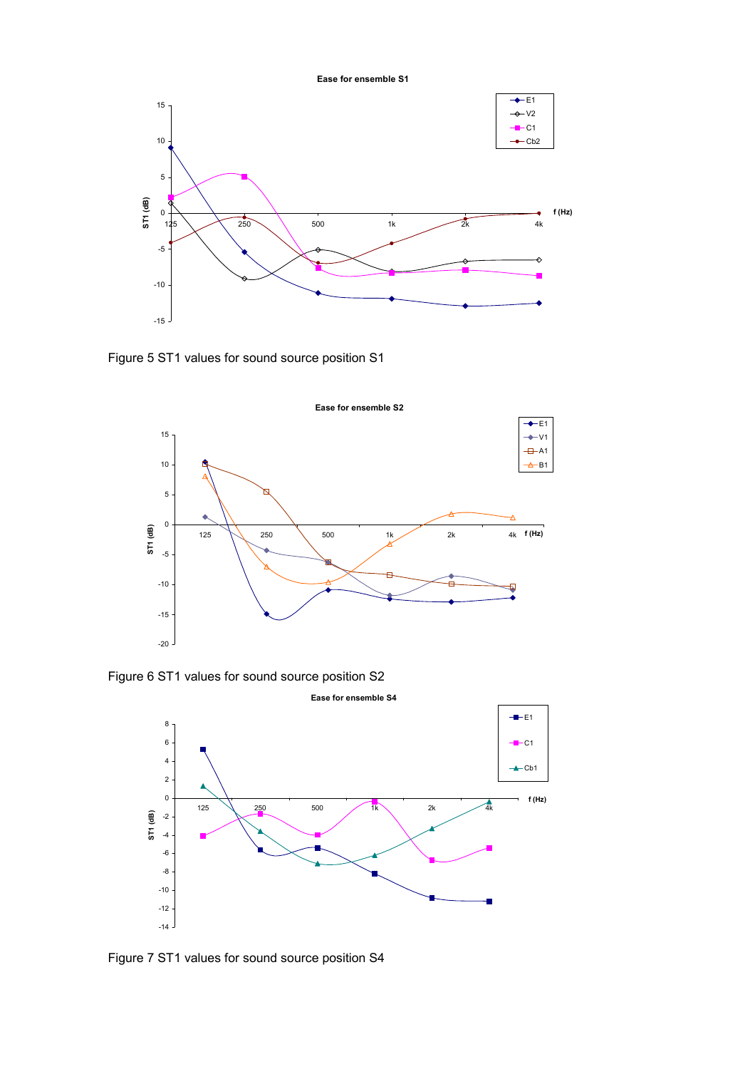**Ease for ensemble S1**



Figure 5 ST1 values for sound source position S1



Figure 6 ST1 values for sound source position S2



Figure 7 ST1 values for sound source position S4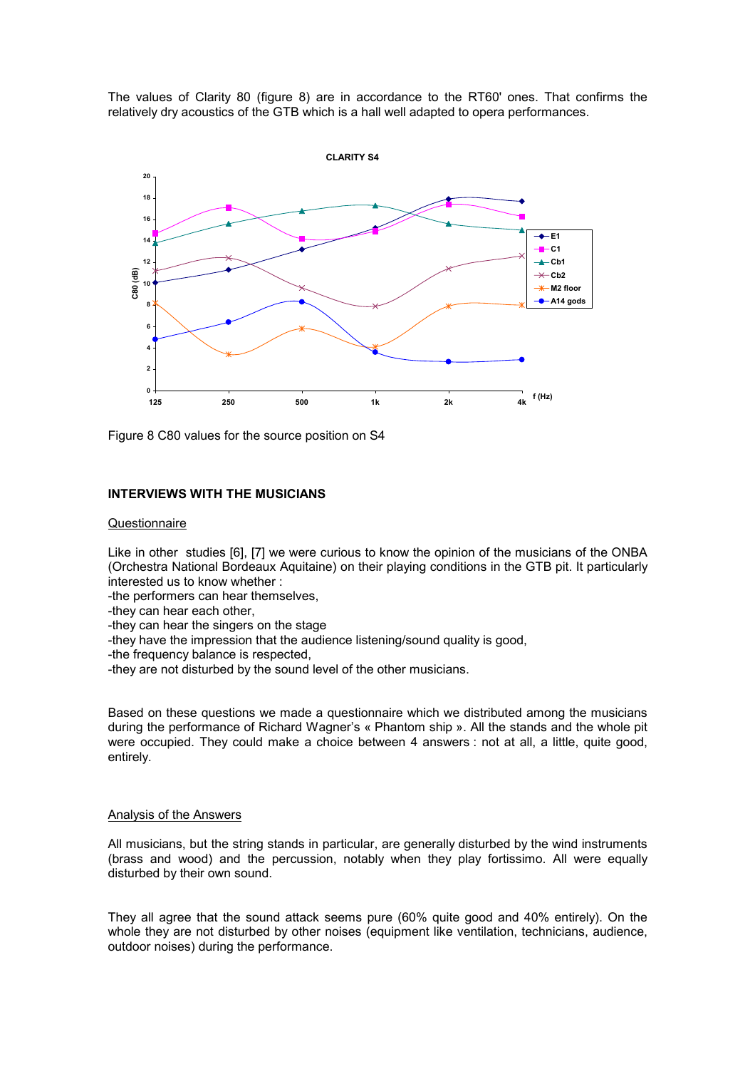The values of Clarity 80 (figure 8) are in accordance to the RT60' ones. That confirms the relatively dry acoustics of the GTB which is a hall well adapted to opera performances.



Figure 8 C80 values for the source position on S4

# **INTERVIEWS WITH THE MUSICIANS**

## Questionnaire

Like in other studies [6], [7] we were curious to know the opinion of the musicians of the ONBA (Orchestra National Bordeaux Aquitaine) on their playing conditions in the GTB pit. It particularly interested us to know whether :

-the performers can hear themselves,

- -they can hear each other,
- -they can hear the singers on the stage
- -they have the impression that the audience listening/sound quality is good,
- -the frequency balance is respected,
- -they are not disturbed by the sound level of the other musicians.

Based on these questions we made a questionnaire which we distributed among the musicians during the performance of Richard Wagner's « Phantom ship ». All the stands and the whole pit were occupied. They could make a choice between 4 answers : not at all, a little, quite good, entirely.

#### Analysis of the Answers

All musicians, but the string stands in particular, are generally disturbed by the wind instruments (brass and wood) and the percussion, notably when they play fortissimo. All were equally disturbed by their own sound.

They all agree that the sound attack seems pure (60% quite good and 40% entirely). On the whole they are not disturbed by other noises (equipment like ventilation, technicians, audience, outdoor noises) during the performance.